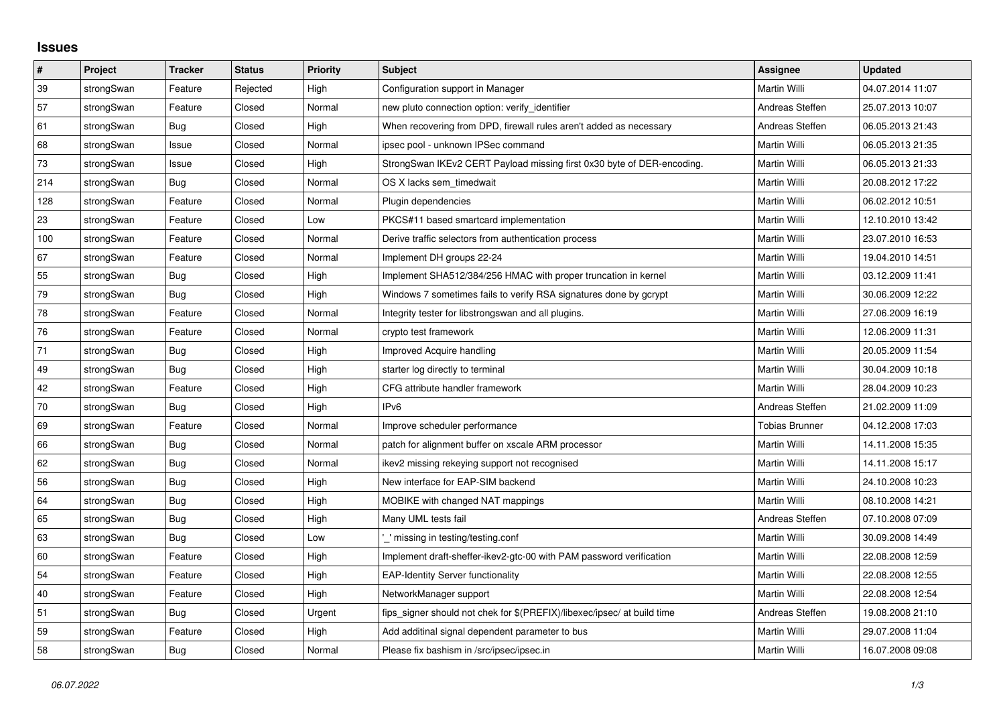## **Issues**

| $\pmb{\#}$ | <b>Project</b> | <b>Tracker</b> | <b>Status</b> | <b>Priority</b> | <b>Subject</b>                                                          | Assignee        | <b>Updated</b>   |
|------------|----------------|----------------|---------------|-----------------|-------------------------------------------------------------------------|-----------------|------------------|
| 39         | strongSwan     | Feature        | Rejected      | High            | Configuration support in Manager                                        | Martin Willi    | 04.07.2014 11:07 |
| 57         | strongSwan     | Feature        | Closed        | Normal          | new pluto connection option: verify identifier                          | Andreas Steffen | 25.07.2013 10:07 |
| 61         | strongSwan     | Bug            | Closed        | High            | When recovering from DPD, firewall rules aren't added as necessary      | Andreas Steffen | 06.05.2013 21:43 |
| 68         | strongSwan     | Issue          | Closed        | Normal          | ipsec pool - unknown IPSec command                                      | Martin Willi    | 06.05.2013 21:35 |
| 73         | strongSwan     | Issue          | Closed        | High            | StrongSwan IKEv2 CERT Payload missing first 0x30 byte of DER-encoding.  | Martin Willi    | 06.05.2013 21:33 |
| 214        | strongSwan     | <b>Bug</b>     | Closed        | Normal          | OS X lacks sem timedwait                                                | Martin Willi    | 20.08.2012 17:22 |
| 128        | strongSwan     | Feature        | Closed        | Normal          | Plugin dependencies                                                     | Martin Willi    | 06.02.2012 10:51 |
| 23         | strongSwan     | Feature        | Closed        | Low             | PKCS#11 based smartcard implementation                                  | Martin Willi    | 12.10.2010 13:42 |
| 100        | strongSwan     | Feature        | Closed        | Normal          | Derive traffic selectors from authentication process                    | Martin Willi    | 23.07.2010 16:53 |
| 67         | strongSwan     | Feature        | Closed        | Normal          | Implement DH groups 22-24                                               | Martin Willi    | 19.04.2010 14:51 |
| 55         | strongSwan     | Bug            | Closed        | High            | Implement SHA512/384/256 HMAC with proper truncation in kernel          | Martin Willi    | 03.12.2009 11:41 |
| 79         | strongSwan     | <b>Bug</b>     | Closed        | High            | Windows 7 sometimes fails to verify RSA signatures done by gcrypt       | Martin Willi    | 30.06.2009 12:22 |
| 78         | strongSwan     | Feature        | Closed        | Normal          | Integrity tester for libstrongswan and all plugins.                     | Martin Willi    | 27.06.2009 16:19 |
| ${\bf 76}$ | strongSwan     | Feature        | Closed        | Normal          | crypto test framework                                                   | Martin Willi    | 12.06.2009 11:31 |
| 71         | strongSwan     | Bug            | Closed        | High            | Improved Acquire handling                                               | Martin Willi    | 20.05.2009 11:54 |
| 49         | strongSwan     | Bug            | Closed        | High            | starter log directly to terminal                                        | Martin Willi    | 30.04.2009 10:18 |
| 42         | strongSwan     | Feature        | Closed        | High            | CFG attribute handler framework                                         | Martin Willi    | 28.04.2009 10:23 |
| $70\,$     | strongSwan     | <b>Bug</b>     | Closed        | High            | IP <sub>v6</sub>                                                        | Andreas Steffen | 21.02.2009 11:09 |
| 69         | strongSwan     | Feature        | Closed        | Normal          | Improve scheduler performance                                           | Tobias Brunner  | 04.12.2008 17:03 |
| 66         | strongSwan     | Bug            | Closed        | Normal          | patch for alignment buffer on xscale ARM processor                      | Martin Willi    | 14.11.2008 15:35 |
| 62         | strongSwan     | Bug            | Closed        | Normal          | ikev2 missing rekeying support not recognised                           | Martin Willi    | 14.11.2008 15:17 |
| 56         | strongSwan     | Bug            | Closed        | High            | New interface for EAP-SIM backend                                       | Martin Willi    | 24.10.2008 10:23 |
| 64         | strongSwan     | Bug            | Closed        | High            | MOBIKE with changed NAT mappings                                        | Martin Willi    | 08.10.2008 14:21 |
| 65         | strongSwan     | Bug            | Closed        | High            | Many UML tests fail                                                     | Andreas Steffen | 07.10.2008 07:09 |
| 63         | strongSwan     | Bug            | Closed        | Low             | missing in testing/testing.conf                                         | Martin Willi    | 30.09.2008 14:49 |
| 60         | strongSwan     | Feature        | Closed        | High            | Implement draft-sheffer-ikev2-gtc-00 with PAM password verification     | Martin Willi    | 22.08.2008 12:59 |
| 54         | strongSwan     | Feature        | Closed        | High            | <b>EAP-Identity Server functionality</b>                                | Martin Willi    | 22.08.2008 12:55 |
| 40         | strongSwan     | Feature        | Closed        | High            | NetworkManager support                                                  | Martin Willi    | 22.08.2008 12:54 |
| 51         | strongSwan     | Bug            | Closed        | Urgent          | fips signer should not chek for \$(PREFIX)/libexec/ipsec/ at build time | Andreas Steffen | 19.08.2008 21:10 |
| 59         | strongSwan     | Feature        | Closed        | High            | Add additinal signal dependent parameter to bus                         | Martin Willi    | 29.07.2008 11:04 |
| 58         | strongSwan     | Bug            | Closed        | Normal          | Please fix bashism in /src/ipsec/ipsec.in                               | Martin Willi    | 16.07.2008 09:08 |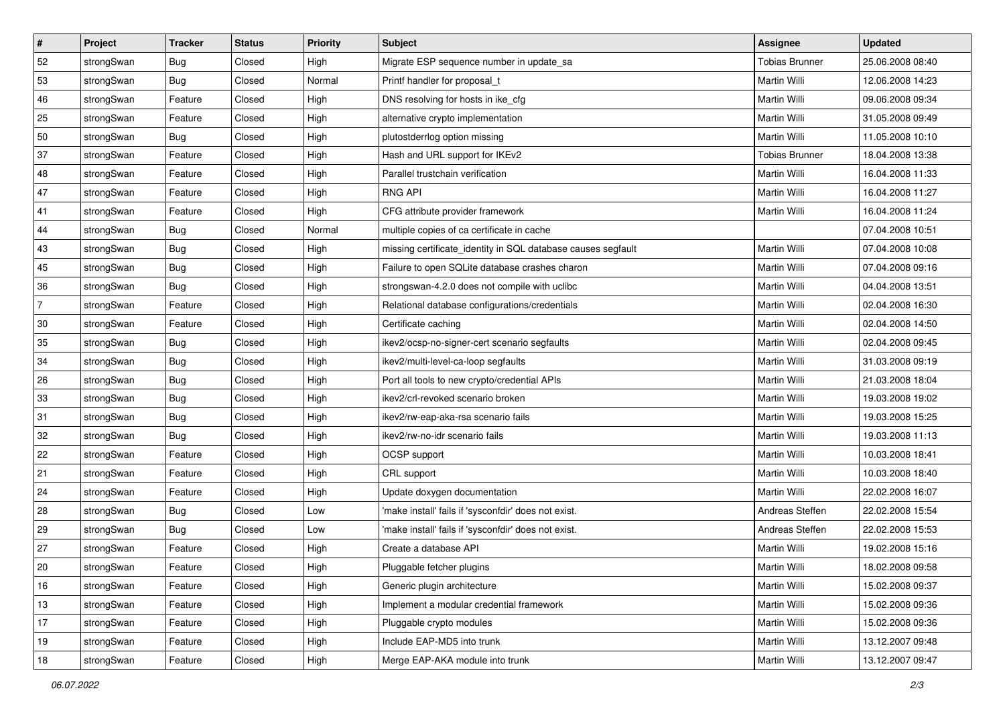| #              | Project    | <b>Tracker</b> | <b>Status</b> | <b>Priority</b> | <b>Subject</b>                                               | <b>Assignee</b>       | <b>Updated</b>   |
|----------------|------------|----------------|---------------|-----------------|--------------------------------------------------------------|-----------------------|------------------|
| 52             | strongSwan | <b>Bug</b>     | Closed        | High            | Migrate ESP sequence number in update_sa                     | <b>Tobias Brunner</b> | 25.06.2008 08:40 |
| 53             | strongSwan | Bug            | Closed        | Normal          | Printf handler for proposal_t                                | Martin Willi          | 12.06.2008 14:23 |
| 46             | strongSwan | Feature        | Closed        | High            | DNS resolving for hosts in ike_cfg                           | Martin Willi          | 09.06.2008 09:34 |
| 25             | strongSwan | Feature        | Closed        | High            | alternative crypto implementation                            | Martin Willi          | 31.05.2008 09:49 |
| 50             | strongSwan | Bug            | Closed        | High            | plutostderrlog option missing                                | Martin Willi          | 11.05.2008 10:10 |
| 37             | strongSwan | Feature        | Closed        | High            | Hash and URL support for IKEv2                               | <b>Tobias Brunner</b> | 18.04.2008 13:38 |
| 48             | strongSwan | Feature        | Closed        | High            | Parallel trustchain verification                             | Martin Willi          | 16.04.2008 11:33 |
| 47             | strongSwan | Feature        | Closed        | High            | <b>RNG API</b>                                               | Martin Willi          | 16.04.2008 11:27 |
| 41             | strongSwan | Feature        | Closed        | High            | CFG attribute provider framework                             | Martin Willi          | 16.04.2008 11:24 |
| 44             | strongSwan | Bug            | Closed        | Normal          | multiple copies of ca certificate in cache                   |                       | 07.04.2008 10:51 |
| 43             | strongSwan | Bug            | Closed        | High            | missing certificate_identity in SQL database causes segfault | Martin Willi          | 07.04.2008 10:08 |
| 45             | strongSwan | <b>Bug</b>     | Closed        | High            | Failure to open SQLite database crashes charon               | Martin Willi          | 07.04.2008 09:16 |
| 36             | strongSwan | Bug            | Closed        | High            | strongswan-4.2.0 does not compile with uclibc                | Martin Willi          | 04.04.2008 13:51 |
| $\overline{7}$ | strongSwan | Feature        | Closed        | High            | Relational database configurations/credentials               | Martin Willi          | 02.04.2008 16:30 |
| 30             | strongSwan | Feature        | Closed        | High            | Certificate caching                                          | Martin Willi          | 02.04.2008 14:50 |
| 35             | strongSwan | Bug            | Closed        | High            | ikev2/ocsp-no-signer-cert scenario segfaults                 | Martin Willi          | 02.04.2008 09:45 |
| 34             | strongSwan | Bug            | Closed        | High            | ikev2/multi-level-ca-loop segfaults                          | Martin Willi          | 31.03.2008 09:19 |
| 26             | strongSwan | Bug            | Closed        | High            | Port all tools to new crypto/credential APIs                 | Martin Willi          | 21.03.2008 18:04 |
| 33             | strongSwan | Bug            | Closed        | High            | ikev2/crl-revoked scenario broken                            | Martin Willi          | 19.03.2008 19:02 |
| 31             | strongSwan | Bug            | Closed        | High            | ikev2/rw-eap-aka-rsa scenario fails                          | Martin Willi          | 19.03.2008 15:25 |
| 32             | strongSwan | Bug            | Closed        | High            | ikev2/rw-no-idr scenario fails                               | Martin Willi          | 19.03.2008 11:13 |
| 22             | strongSwan | Feature        | Closed        | High            | OCSP support                                                 | Martin Willi          | 10.03.2008 18:41 |
| 21             | strongSwan | Feature        | Closed        | High            | CRL support                                                  | Martin Willi          | 10.03.2008 18:40 |
| 24             | strongSwan | Feature        | Closed        | High            | Update doxygen documentation                                 | Martin Willi          | 22.02.2008 16:07 |
| 28             | strongSwan | Bug            | Closed        | Low             | 'make install' fails if 'sysconfdir' does not exist.         | Andreas Steffen       | 22.02.2008 15:54 |
| 29             | strongSwan | Bug            | Closed        | Low             | 'make install' fails if 'sysconfdir' does not exist.         | Andreas Steffen       | 22.02.2008 15:53 |
| 27             | strongSwan | Feature        | Closed        | High            | Create a database API                                        | Martin Willi          | 19.02.2008 15:16 |
| 20             | strongSwan | Feature        | Closed        | High            | Pluggable fetcher plugins                                    | Martin Willi          | 18.02.2008 09:58 |
| 16             | strongSwan | Feature        | Closed        | High            | Generic plugin architecture                                  | Martin Willi          | 15.02.2008 09:37 |
| 13             | strongSwan | Feature        | Closed        | High            | Implement a modular credential framework                     | Martin Willi          | 15.02.2008 09:36 |
| 17             | strongSwan | Feature        | Closed        | High            | Pluggable crypto modules                                     | Martin Willi          | 15.02.2008 09:36 |
| 19             | strongSwan | Feature        | Closed        | High            | Include EAP-MD5 into trunk                                   | Martin Willi          | 13.12.2007 09:48 |
| 18             | strongSwan | Feature        | Closed        | High            | Merge EAP-AKA module into trunk                              | Martin Willi          | 13.12.2007 09:47 |